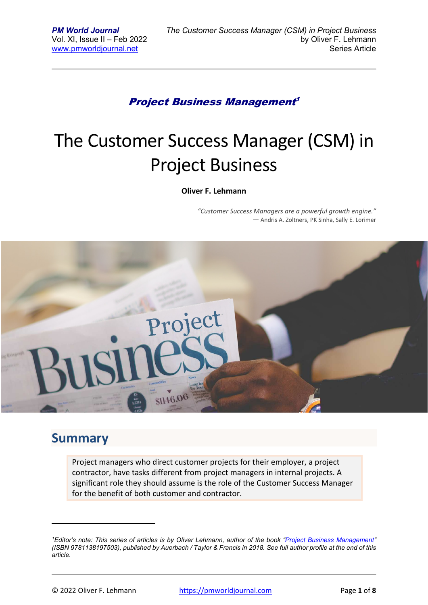#### Project Business Management 1

# The Customer Success Manager (CSM) in Project Business

#### **Oliver F. Lehmann**

*"Customer Success Managers are a powerful growth engine." ―* Andris A. Zoltners, PK Sinha, Sally E. Lorimer



#### **Summary**

Project managers who direct customer projects for their employer, a project contractor, have tasks different from project managers in internal projects. A significant role they should assume is the role of the Customer Success Manager for the benefit of both customer and contractor.

*<sup>1</sup>Editor's note: This series of articles is by Oliver Lehmann, author of the book "Project Business Management" (ISBN 9781138197503), published by Auerbach / Taylor & Francis in 2018. See full author profile at the end of this article.*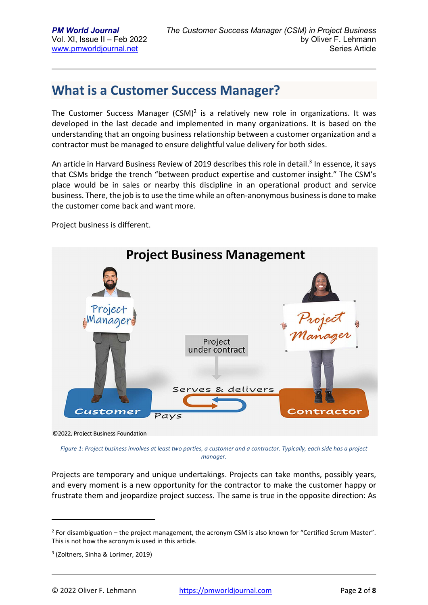### **What is a Customer Success Manager?**

The Customer Success Manager  $(CSM)^2$  is a relatively new role in organizations. It was developed in the last decade and implemented in many organizations. It is based on the understanding that an ongoing business relationship between a customer organization and a contractor must be managed to ensure delightful value delivery for both sides.

An article in Harvard Business Review of 2019 describes this role in detail.<sup>3</sup> In essence, it says that CSMs bridge the trench "between product expertise and customer insight." The CSM's place would be in sales or nearby this discipline in an operational product and service business. There, the job is to use the time while an often-anonymous business is done to make the customer come back and want more.

Project business is different.



©2022, Project Business Foundation

*Figure 1: Project business involves at least two parties, a customer and a contractor. Typically, each side has a project manager.* 

Projects are temporary and unique undertakings. Projects can take months, possibly years, and every moment is a new opportunity for the contractor to make the customer happy or frustrate them and jeopardize project success. The same is true in the opposite direction: As

 $2$  For disambiguation – the project management, the acronym CSM is also known for "Certified Scrum Master". This is not how the acronym is used in this article.

<sup>3</sup> (Zoltners, Sinha & Lorimer, 2019)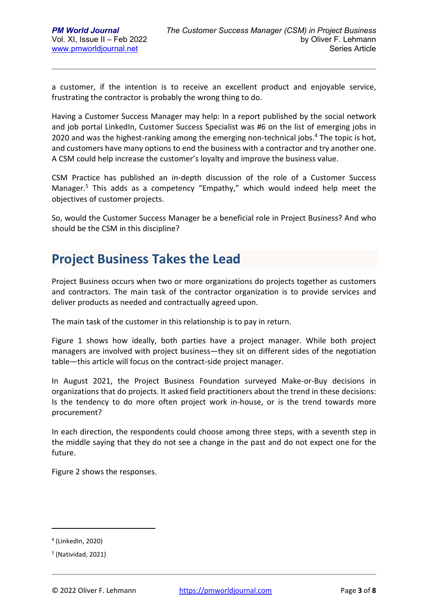a customer, if the intention is to receive an excellent product and enjoyable service, frustrating the contractor is probably the wrong thing to do.

Having a Customer Success Manager may help: In a report published by the social network and job portal LinkedIn, Customer Success Specialist was #6 on the list of emerging jobs in 2020 and was the highest-ranking among the emerging non-technical jobs.<sup>4</sup> The topic is hot, and customers have many options to end the business with a contractor and try another one. A CSM could help increase the customer's loyalty and improve the business value.

CSM Practice has published an in-depth discussion of the role of a Customer Success Manager.<sup>5</sup> This adds as a competency "Empathy," which would indeed help meet the objectives of customer projects.

So, would the Customer Success Manager be a beneficial role in Project Business? And who should be the CSM in this discipline?

### **Project Business Takes the Lead**

Project Business occurs when two or more organizations do projects together as customers and contractors. The main task of the contractor organization is to provide services and deliver products as needed and contractually agreed upon.

The main task of the customer in this relationship is to pay in return.

Figure 1 shows how ideally, both parties have a project manager. While both project managers are involved with project business—they sit on different sides of the negotiation table—this article will focus on the contract-side project manager.

In August 2021, the Project Business Foundation surveyed Make-or-Buy decisions in organizations that do projects. It asked field practitioners about the trend in these decisions: Is the tendency to do more often project work in-house, or is the trend towards more procurement?

In each direction, the respondents could choose among three steps, with a seventh step in the middle saying that they do not see a change in the past and do not expect one for the future.

Figure 2 shows the responses.

<sup>4</sup> (LinkedIn, 2020)

<sup>5</sup> (Natividad, 2021)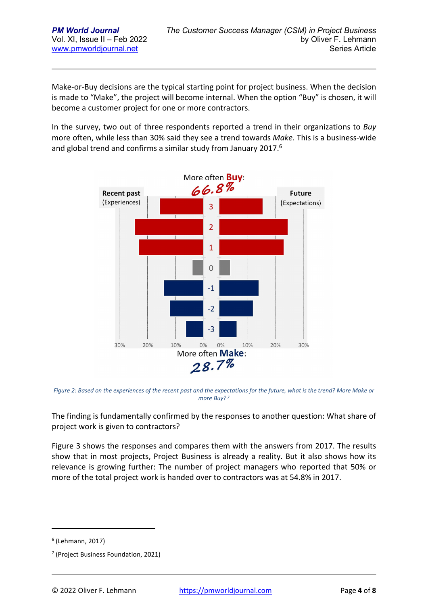Make-or-Buy decisions are the typical starting point for project business. When the decision is made to "Make", the project will become internal. When the option "Buy" is chosen, it will become a customer project for one or more contractors.

In the survey, two out of three respondents reported a trend in their organizations to *Buy* more often, while less than 30% said they see a trend towards *Make*. This is a business-wide and global trend and confirms a similar study from January 2017.<sup>6</sup>



*Figure 2: Based on the experiences of the recent past and the expectations for the future, what is the trend? More Make or more Buy?<sup>7</sup>*

The finding is fundamentally confirmed by the responses to another question: What share of project work is given to contractors?

Figure 3 shows the responses and compares them with the answers from 2017. The results show that in most projects, Project Business is already a reality. But it also shows how its relevance is growing further: The number of project managers who reported that 50% or more of the total project work is handed over to contractors was at 54.8% in 2017.

<sup>6</sup> (Lehmann, 2017)

<sup>7</sup> (Project Business Foundation, 2021)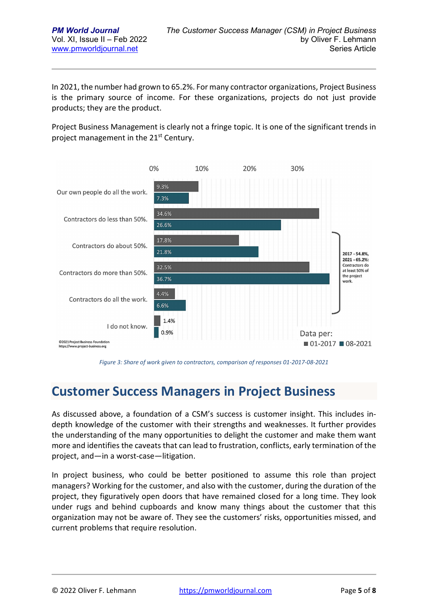In 2021, the number had grown to 65.2%. For many contractor organizations, Project Business is the primary source of income. For these organizations, projects do not just provide products; they are the product.

Project Business Management is clearly not a fringe topic. It is one of the significant trends in project management in the 21<sup>st</sup> Century.



*Figure 3: Share of work given to contractors, comparison of responses 01-2017-08-2021* 

#### **Customer Success Managers in Project Business**

As discussed above, a foundation of a CSM's success is customer insight. This includes indepth knowledge of the customer with their strengths and weaknesses. It further provides the understanding of the many opportunities to delight the customer and make them want more and identifies the caveats that can lead to frustration, conflicts, early termination of the project, and—in a worst-case—litigation.

In project business, who could be better positioned to assume this role than project managers? Working for the customer, and also with the customer, during the duration of the project, they figuratively open doors that have remained closed for a long time. They look under rugs and behind cupboards and know many things about the customer that this organization may not be aware of. They see the customers' risks, opportunities missed, and current problems that require resolution.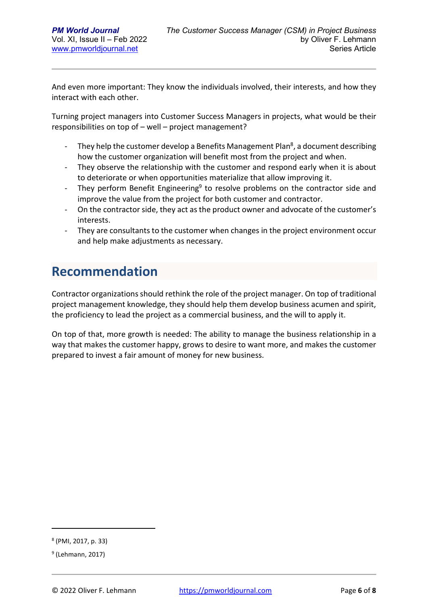And even more important: They know the individuals involved, their interests, and how they interact with each other.

Turning project managers into Customer Success Managers in projects, what would be their responsibilities on top of – well – project management?

- They help the customer develop a Benefits Management Plan<sup>8</sup>, a document describing how the customer organization will benefit most from the project and when.
- They observe the relationship with the customer and respond early when it is about to deteriorate or when opportunities materialize that allow improving it.
- They perform Benefit Engineering<sup>9</sup> to resolve problems on the contractor side and improve the value from the project for both customer and contractor.
- On the contractor side, they act as the product owner and advocate of the customer's interests.
- They are consultants to the customer when changes in the project environment occur and help make adjustments as necessary.

# **Recommendation**

Contractor organizations should rethink the role of the project manager. On top of traditional project management knowledge, they should help them develop business acumen and spirit, the proficiency to lead the project as a commercial business, and the will to apply it.

On top of that, more growth is needed: The ability to manage the business relationship in a way that makes the customer happy, grows to desire to want more, and makes the customer prepared to invest a fair amount of money for new business.

<sup>8</sup> (PMI, 2017, p. 33)

<sup>&</sup>lt;sup>9</sup> (Lehmann, 2017)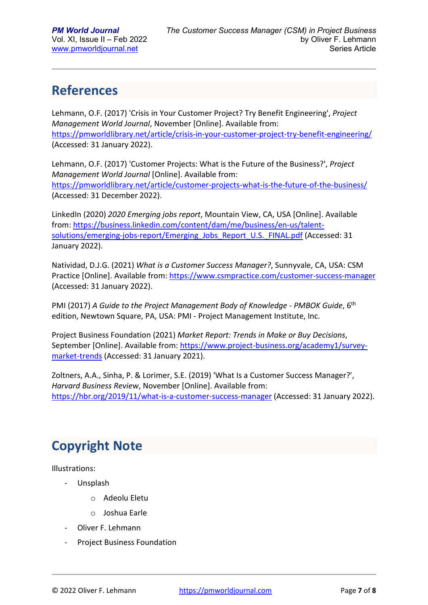# **References**

Lehmann, O.F. (2017) 'Crisis in Your Customer Project? Try Benefit Engineering', *Project Management World Journal*, November [Online]. Available from: https://pmworldlibrary.net/article/crisis-in-your-customer-project-try-benefit-engineering/ (Accessed: 31 January 2022).

Lehmann, O.F. (2017) 'Customer Projects: What is the Future of the Business?', *Project Management World Journal* [Online]. Available from: https://pmworldlibrary.net/article/customer-projects-what-is-the-future-of-the-business/ (Accessed: 31 December 2022).

LinkedIn (2020) *2020 Emerging jobs report*, Mountain View, CA, USA [Online]. Available from: https://business.linkedin.com/content/dam/me/business/en-us/talentsolutions/emerging-jobs-report/Emerging\_Jobs\_Report\_U.S.\_FINAL.pdf (Accessed: 31 January 2022).

Natividad, D.J.G. (2021) *What is a Customer Success Manager?*, Sunnyvale, CA, USA: CSM Practice [Online]. Available from: https://www.csmpractice.com/customer-success-manager (Accessed: 31 January 2022).

PMI (2017) *A Guide to the Project Management Body of Knowledge - PMBOK Guide*, 6th edition, Newtown Square, PA, USA: PMI - Project Management Institute, Inc.

Project Business Foundation (2021) *Market Report: Trends in Make or Buy Decisions*, September [Online]. Available from: https://www.project-business.org/academy1/surveymarket-trends (Accessed: 31 January 2021).

Zoltners, A.A., Sinha, P. & Lorimer, S.E. (2019) 'What Is a Customer Success Manager?', *Harvard Business Review*, November [Online]. Available from: https://hbr.org/2019/11/what-is-a-customer-success-manager (Accessed: 31 January 2022).

# **Copyright Note**

Illustrations:

- Unsplash
	- o Adeolu Eletu
	- o Joshua Earle
- Oliver F. Lehmann
- Project Business Foundation